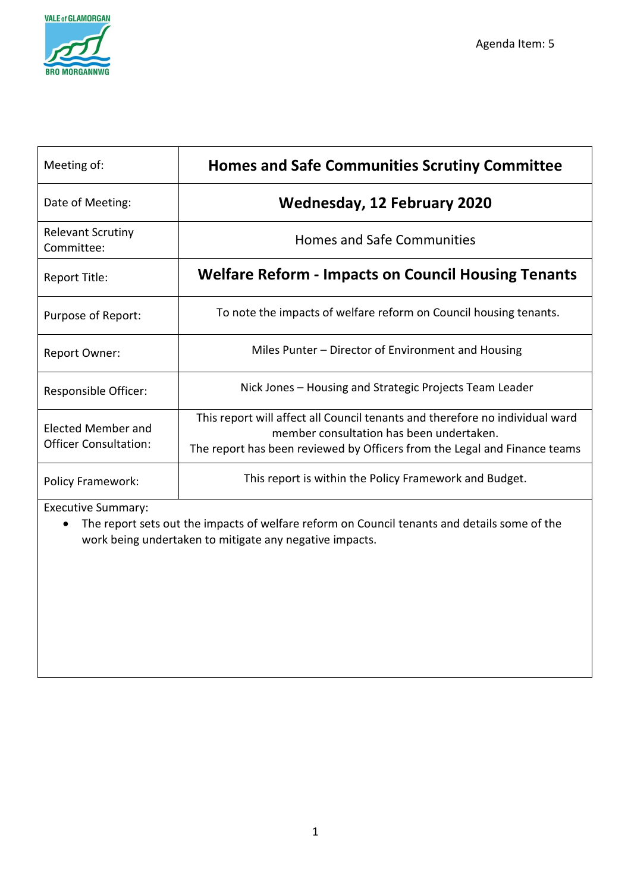

| Meeting of:                                               | <b>Homes and Safe Communities Scrutiny Committee</b>                                                                                                                                                  |  |  |
|-----------------------------------------------------------|-------------------------------------------------------------------------------------------------------------------------------------------------------------------------------------------------------|--|--|
| Date of Meeting:                                          | <b>Wednesday, 12 February 2020</b>                                                                                                                                                                    |  |  |
| <b>Relevant Scrutiny</b><br>Committee:                    | <b>Homes and Safe Communities</b>                                                                                                                                                                     |  |  |
| Report Title:                                             | <b>Welfare Reform - Impacts on Council Housing Tenants</b>                                                                                                                                            |  |  |
| Purpose of Report:                                        | To note the impacts of welfare reform on Council housing tenants.                                                                                                                                     |  |  |
| Report Owner:                                             | Miles Punter – Director of Environment and Housing                                                                                                                                                    |  |  |
| Responsible Officer:                                      | Nick Jones – Housing and Strategic Projects Team Leader                                                                                                                                               |  |  |
| <b>Elected Member and</b><br><b>Officer Consultation:</b> | This report will affect all Council tenants and therefore no individual ward<br>member consultation has been undertaken.<br>The report has been reviewed by Officers from the Legal and Finance teams |  |  |
| <b>Policy Framework:</b>                                  | This report is within the Policy Framework and Budget.                                                                                                                                                |  |  |

Executive Summary:

• The report sets out the impacts of welfare reform on Council tenants and details some of the work being undertaken to mitigate any negative impacts.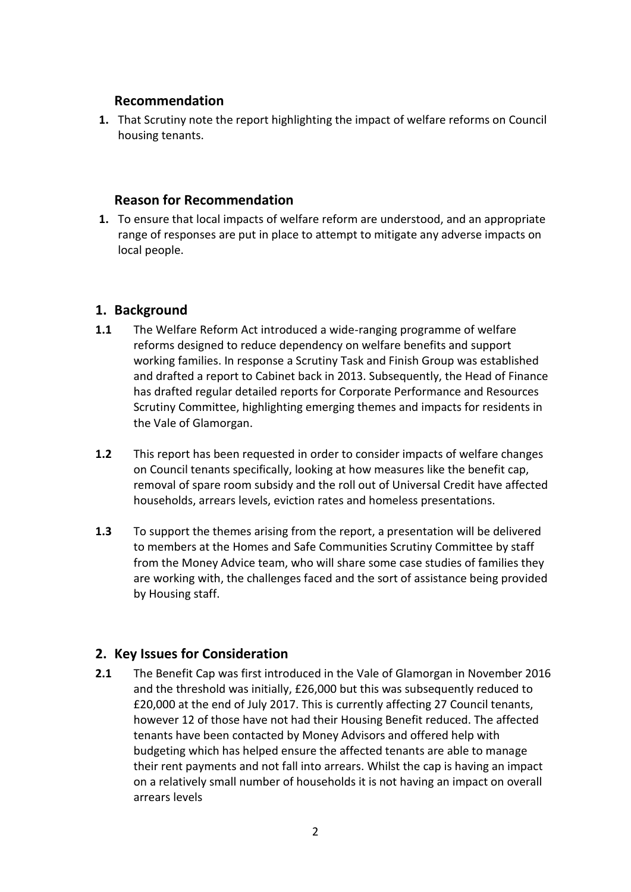### **Recommendation**

**1.** That Scrutiny note the report highlighting the impact of welfare reforms on Council housing tenants.

### **Reason for Recommendation**

**1.** To ensure that local impacts of welfare reform are understood, and an appropriate range of responses are put in place to attempt to mitigate any adverse impacts on local people.

# **1. Background**

- **1.1** The Welfare Reform Act introduced a wide-ranging programme of welfare reforms designed to reduce dependency on welfare benefits and support working families. In response a Scrutiny Task and Finish Group was established and drafted a report to Cabinet back in 2013. Subsequently, the Head of Finance has drafted regular detailed reports for Corporate Performance and Resources Scrutiny Committee, highlighting emerging themes and impacts for residents in the Vale of Glamorgan.
- **1.2** This report has been requested in order to consider impacts of welfare changes on Council tenants specifically, looking at how measures like the benefit cap, removal of spare room subsidy and the roll out of Universal Credit have affected households, arrears levels, eviction rates and homeless presentations.
- **1.3** To support the themes arising from the report, a presentation will be delivered to members at the Homes and Safe Communities Scrutiny Committee by staff from the Money Advice team, who will share some case studies of families they are working with, the challenges faced and the sort of assistance being provided by Housing staff.

# **2. Key Issues for Consideration**

**2.1** The Benefit Cap was first introduced in the Vale of Glamorgan in November 2016 and the threshold was initially, £26,000 but this was subsequently reduced to £20,000 at the end of July 2017. This is currently affecting 27 Council tenants, however 12 of those have not had their Housing Benefit reduced. The affected tenants have been contacted by Money Advisors and offered help with budgeting which has helped ensure the affected tenants are able to manage their rent payments and not fall into arrears. Whilst the cap is having an impact on a relatively small number of households it is not having an impact on overall arrears levels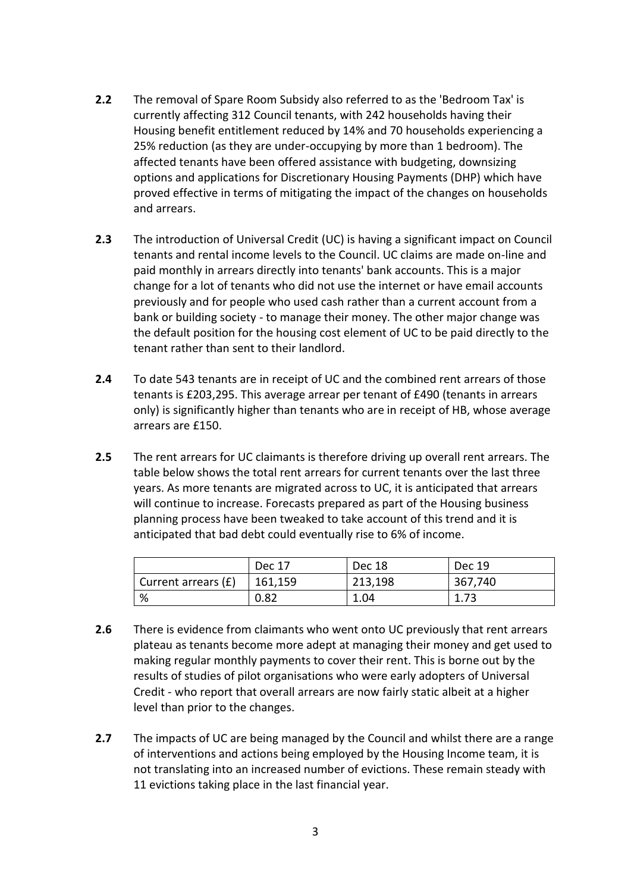- **2.2** The removal of Spare Room Subsidy also referred to as the 'Bedroom Tax' is currently affecting 312 Council tenants, with 242 households having their Housing benefit entitlement reduced by 14% and 70 households experiencing a 25% reduction (as they are under-occupying by more than 1 bedroom). The affected tenants have been offered assistance with budgeting, downsizing options and applications for Discretionary Housing Payments (DHP) which have proved effective in terms of mitigating the impact of the changes on households and arrears.
- **2.3** The introduction of Universal Credit (UC) is having a significant impact on Council tenants and rental income levels to the Council. UC claims are made on-line and paid monthly in arrears directly into tenants' bank accounts. This is a major change for a lot of tenants who did not use the internet or have email accounts previously and for people who used cash rather than a current account from a bank or building society - to manage their money. The other major change was the default position for the housing cost element of UC to be paid directly to the tenant rather than sent to their landlord.
- **2.4** To date 543 tenants are in receipt of UC and the combined rent arrears of those tenants is £203,295. This average arrear per tenant of £490 (tenants in arrears only) is significantly higher than tenants who are in receipt of HB, whose average arrears are £150.
- **2.5** The rent arrears for UC claimants is therefore driving up overall rent arrears. The table below shows the total rent arrears for current tenants over the last three years. As more tenants are migrated across to UC, it is anticipated that arrears will continue to increase. Forecasts prepared as part of the Housing business planning process have been tweaked to take account of this trend and it is anticipated that bad debt could eventually rise to 6% of income.

|                     | Dec 17  | Dec 18  | <b>Dec 19</b> |
|---------------------|---------|---------|---------------|
| Current arrears (£) | 161,159 | 213,198 | 367,740       |
| %                   | 0.82    | 1.04    | 1.73          |

- **2.6** There is evidence from claimants who went onto UC previously that rent arrears plateau as tenants become more adept at managing their money and get used to making regular monthly payments to cover their rent. This is borne out by the results of studies of pilot organisations who were early adopters of Universal Credit - who report that overall arrears are now fairly static albeit at a higher level than prior to the changes.
- **2.7** The impacts of UC are being managed by the Council and whilst there are a range of interventions and actions being employed by the Housing Income team, it is not translating into an increased number of evictions. These remain steady with 11 evictions taking place in the last financial year.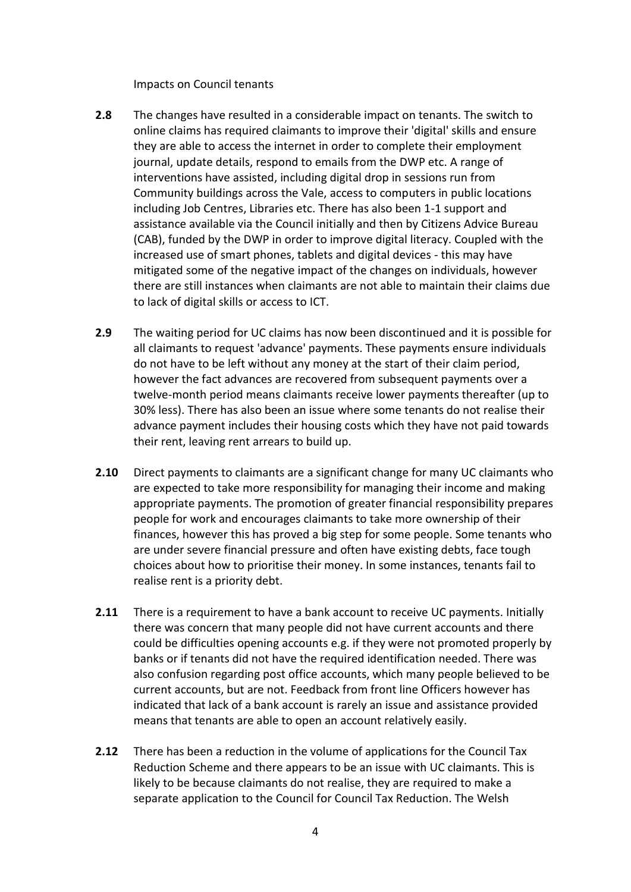Impacts on Council tenants

- **2.8** The changes have resulted in a considerable impact on tenants. The switch to online claims has required claimants to improve their 'digital' skills and ensure they are able to access the internet in order to complete their employment journal, update details, respond to emails from the DWP etc. A range of interventions have assisted, including digital drop in sessions run from Community buildings across the Vale, access to computers in public locations including Job Centres, Libraries etc. There has also been 1-1 support and assistance available via the Council initially and then by Citizens Advice Bureau (CAB), funded by the DWP in order to improve digital literacy. Coupled with the increased use of smart phones, tablets and digital devices - this may have mitigated some of the negative impact of the changes on individuals, however there are still instances when claimants are not able to maintain their claims due to lack of digital skills or access to ICT.
- **2.9** The waiting period for UC claims has now been discontinued and it is possible for all claimants to request 'advance' payments. These payments ensure individuals do not have to be left without any money at the start of their claim period, however the fact advances are recovered from subsequent payments over a twelve-month period means claimants receive lower payments thereafter (up to 30% less). There has also been an issue where some tenants do not realise their advance payment includes their housing costs which they have not paid towards their rent, leaving rent arrears to build up.
- **2.10** Direct payments to claimants are a significant change for many UC claimants who are expected to take more responsibility for managing their income and making appropriate payments. The promotion of greater financial responsibility prepares people for work and encourages claimants to take more ownership of their finances, however this has proved a big step for some people. Some tenants who are under severe financial pressure and often have existing debts, face tough choices about how to prioritise their money. In some instances, tenants fail to realise rent is a priority debt.
- **2.11** There is a requirement to have a bank account to receive UC payments. Initially there was concern that many people did not have current accounts and there could be difficulties opening accounts e.g. if they were not promoted properly by banks or if tenants did not have the required identification needed. There was also confusion regarding post office accounts, which many people believed to be current accounts, but are not. Feedback from front line Officers however has indicated that lack of a bank account is rarely an issue and assistance provided means that tenants are able to open an account relatively easily.
- **2.12** There has been a reduction in the volume of applications for the Council Tax Reduction Scheme and there appears to be an issue with UC claimants. This is likely to be because claimants do not realise, they are required to make a separate application to the Council for Council Tax Reduction. The Welsh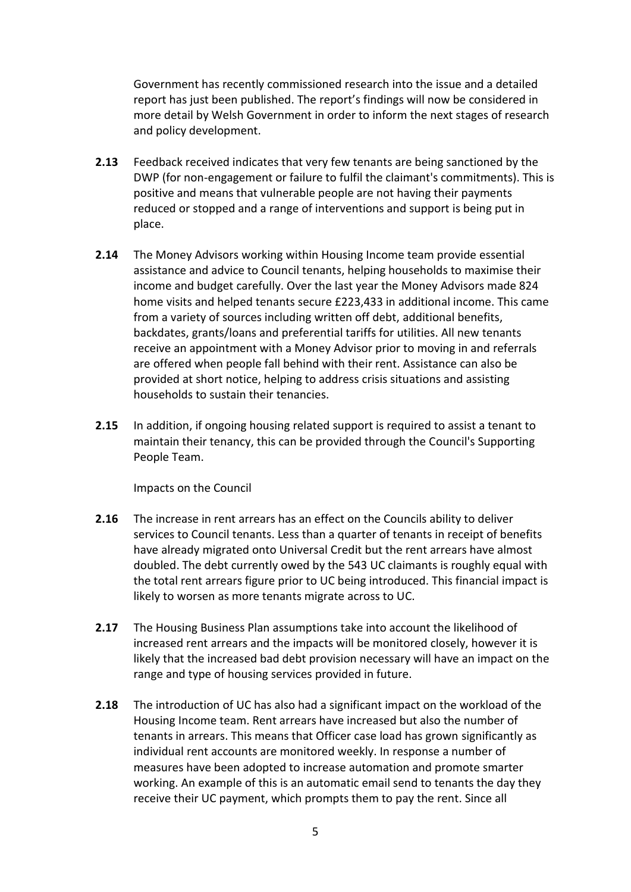Government has recently commissioned research into the issue and a detailed report has just been published. The report's findings will now be considered in more detail by Welsh Government in order to inform the next stages of research and policy development.

- **2.13** Feedback received indicates that very few tenants are being sanctioned by the DWP (for non-engagement or failure to fulfil the claimant's commitments). This is positive and means that vulnerable people are not having their payments reduced or stopped and a range of interventions and support is being put in place.
- **2.14** The Money Advisors working within Housing Income team provide essential assistance and advice to Council tenants, helping households to maximise their income and budget carefully. Over the last year the Money Advisors made 824 home visits and helped tenants secure £223,433 in additional income. This came from a variety of sources including written off debt, additional benefits, backdates, grants/loans and preferential tariffs for utilities. All new tenants receive an appointment with a Money Advisor prior to moving in and referrals are offered when people fall behind with their rent. Assistance can also be provided at short notice, helping to address crisis situations and assisting households to sustain their tenancies.
- **2.15** In addition, if ongoing housing related support is required to assist a tenant to maintain their tenancy, this can be provided through the Council's Supporting People Team.

Impacts on the Council

- **2.16** The increase in rent arrears has an effect on the Councils ability to deliver services to Council tenants. Less than a quarter of tenants in receipt of benefits have already migrated onto Universal Credit but the rent arrears have almost doubled. The debt currently owed by the 543 UC claimants is roughly equal with the total rent arrears figure prior to UC being introduced. This financial impact is likely to worsen as more tenants migrate across to UC.
- **2.17** The Housing Business Plan assumptions take into account the likelihood of increased rent arrears and the impacts will be monitored closely, however it is likely that the increased bad debt provision necessary will have an impact on the range and type of housing services provided in future.
- **2.18** The introduction of UC has also had a significant impact on the workload of the Housing Income team. Rent arrears have increased but also the number of tenants in arrears. This means that Officer case load has grown significantly as individual rent accounts are monitored weekly. In response a number of measures have been adopted to increase automation and promote smarter working. An example of this is an automatic email send to tenants the day they receive their UC payment, which prompts them to pay the rent. Since all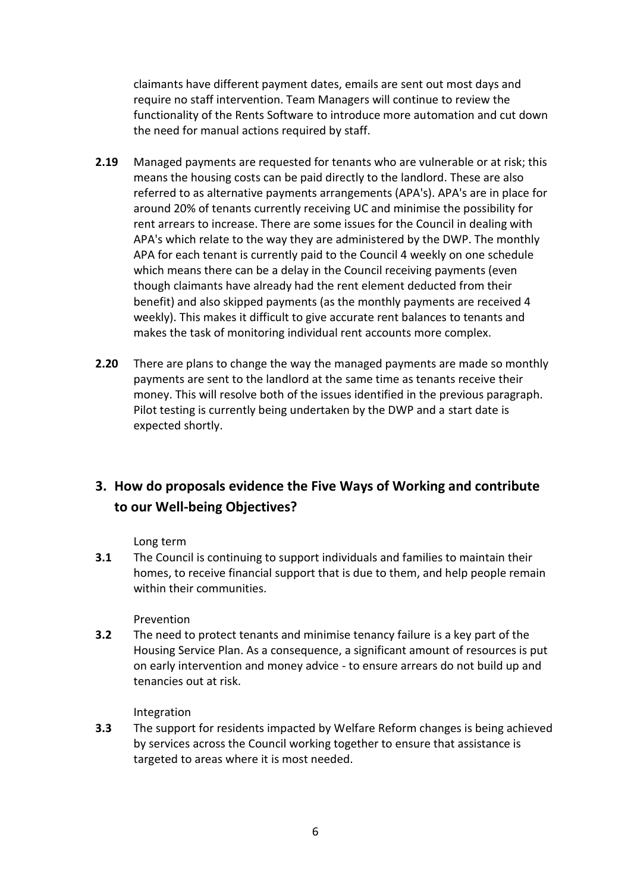claimants have different payment dates, emails are sent out most days and require no staff intervention. Team Managers will continue to review the functionality of the Rents Software to introduce more automation and cut down the need for manual actions required by staff.

- **2.19** Managed payments are requested for tenants who are vulnerable or at risk; this means the housing costs can be paid directly to the landlord. These are also referred to as alternative payments arrangements (APA's). APA's are in place for around 20% of tenants currently receiving UC and minimise the possibility for rent arrears to increase. There are some issues for the Council in dealing with APA's which relate to the way they are administered by the DWP. The monthly APA for each tenant is currently paid to the Council 4 weekly on one schedule which means there can be a delay in the Council receiving payments (even though claimants have already had the rent element deducted from their benefit) and also skipped payments (as the monthly payments are received 4 weekly). This makes it difficult to give accurate rent balances to tenants and makes the task of monitoring individual rent accounts more complex.
- **2.20** There are plans to change the way the managed payments are made so monthly payments are sent to the landlord at the same time as tenants receive their money. This will resolve both of the issues identified in the previous paragraph. Pilot testing is currently being undertaken by the DWP and a start date is expected shortly.

# **3. How do proposals evidence the Five Ways of Working and contribute to our Well-being Objectives?**

#### Long term

**3.1** The Council is continuing to support individuals and families to maintain their homes, to receive financial support that is due to them, and help people remain within their communities.

#### Prevention

**3.2** The need to protect tenants and minimise tenancy failure is a key part of the Housing Service Plan. As a consequence, a significant amount of resources is put on early intervention and money advice - to ensure arrears do not build up and tenancies out at risk.

#### Integration

**3.3** The support for residents impacted by Welfare Reform changes is being achieved by services across the Council working together to ensure that assistance is targeted to areas where it is most needed.